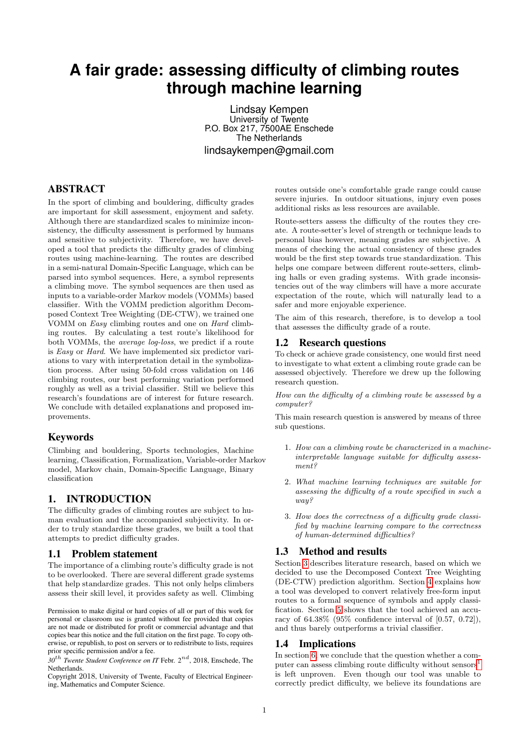# **A fair grade: assessing difficulty of climbing routes through machine learning**

Lindsay Kempen University of Twente P.O. Box 217, 7500AE Enschede The Netherlands lindsaykempen@gmail.com

# ABSTRACT

In the sport of climbing and bouldering, difficulty grades are important for skill assessment, enjoyment and safety. Although there are standardized scales to minimize inconsistency, the difficulty assessment is performed by humans and sensitive to subjectivity. Therefore, we have developed a tool that predicts the difficulty grades of climbing routes using machine-learning. The routes are described in a semi-natural Domain-Specific Language, which can be parsed into symbol sequences. Here, a symbol represents a climbing move. The symbol sequences are then used as inputs to a variable-order Markov models (VOMMs) based classifier. With the VOMM prediction algorithm Decomposed Context Tree Weighting (DE-CTW), we trained one VOMM on Easy climbing routes and one on Hard climbing routes. By calculating a test route's likelihood for both VOMMs, the average log-loss, we predict if a route is Easy or Hard. We have implemented six predictor variations to vary with interpretation detail in the symbolization process. After using 50-fold cross validation on 146 climbing routes, our best performing variation performed roughly as well as a trivial classifier. Still we believe this research's foundations are of interest for future research. We conclude with detailed explanations and proposed improvements.

### Keywords

Climbing and bouldering, Sports technologies, Machine learning, Classification, Formalization, Variable-order Markov model, Markov chain, Domain-Specific Language, Binary classification

# 1. INTRODUCTION

The difficulty grades of climbing routes are subject to human evaluation and the accompanied subjectivity. In order to truly standardize these grades, we built a tool that attempts to predict difficulty grades.

#### 1.1 Problem statement

The importance of a climbing route's difficulty grade is not to be overlooked. There are several different grade systems that help standardize grades. This not only helps climbers assess their skill level, it provides safety as well. Climbing

Permission to make digital or hard copies of all or part of this work for personal or classroom use is granted without fee provided that copies are not made or distributed for profit or commercial advantage and that copies bear this notice and the full citation on the first page. To copy otherwise, or republish, to post on servers or to redistribute to lists, requires prior specific permission and/or a fee.

*30*th *Twente Student Conference on IT* Febr. 2nd, 2018, Enschede, The Netherlands.

Copyright 2018, University of Twente, Faculty of Electrical Engineering, Mathematics and Computer Science.

routes outside one's comfortable grade range could cause severe injuries. In outdoor situations, injury even poses additional risks as less resources are available.

Route-setters assess the difficulty of the routes they create. A route-setter's level of strength or technique leads to personal bias however, meaning grades are subjective. A means of checking the actual consistency of these grades would be the first step towards true standardization. This helps one compare between different route-setters, climbing halls or even grading systems. With grade inconsistencies out of the way climbers will have a more accurate expectation of the route, which will naturally lead to a safer and more enjoyable experience.

The aim of this research, therefore, is to develop a tool that assesses the difficulty grade of a route.

### <span id="page-0-0"></span>1.2 Research questions

To check or achieve grade consistency, one would first need to investigate to what extent a climbing route grade can be assessed objectively. Therefore we drew up the following research question.

How can the difficulty of a climbing route be assessed by a computer?

This main research question is answered by means of three sub questions.

- 1. How can a climbing route be characterized in a machineinterpretable language suitable for difficulty assessment?
- 2. What machine learning techniques are suitable for assessing the difficulty of a route specified in such a way?
- 3. How does the correctness of a difficulty grade classified by machine learning compare to the correctness of human-determined difficulties?

# 1.3 Method and results

Section [3](#page-1-0) describes literature research, based on which we decided to use the Decomposed Context Tree Weighting (DE-CTW) prediction algorithm. Section [4](#page-2-0) explains how a tool was developed to convert relatively free-form input routes to a formal sequence of symbols and apply classification. Section [5](#page-5-0) shows that the tool achieved an accuracy of 64.38% (95% confidence interval of [0.57, 0.72]), and thus barely outperforms a trivial classifier.

#### 1.4 Implications

In section [6,](#page-5-1) we conclude that the question whether a computer can assess climbing route difficulty without  ${\rm sensors}^1$  ${\rm sensors}^1$ is left unproven. Even though our tool was unable to correctly predict difficulty, we believe its foundations are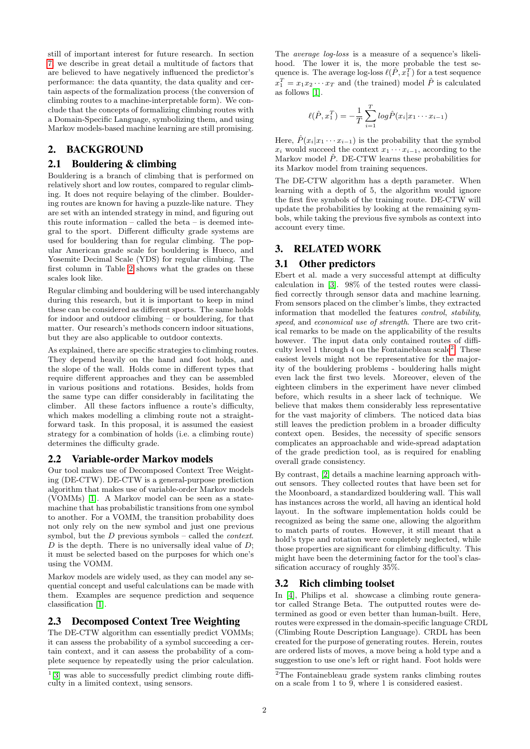still of important interest for future research. In section [7,](#page-6-0) we describe in great detail a multitude of factors that are believed to have negatively influenced the predictor's performance: the data quantity, the data quality and certain aspects of the formalization process (the conversion of climbing routes to a machine-interpretable form). We conclude that the concepts of formalizing climbing routes with a Domain-Specific Language, symbolizing them, and using Markov models-based machine learning are still promising.

# 2. BACKGROUND

# 2.1 Bouldering & climbing

Bouldering is a branch of climbing that is performed on relatively short and low routes, compared to regular climbing. It does not require belaying of the climber. Bouldering routes are known for having a puzzle-like nature. They are set with an intended strategy in mind, and figuring out this route information – called the beta – is deemed integral to the sport. Different difficulty grade systems are used for bouldering than for regular climbing. The popular American grade scale for bouldering is Hueco, and Yosemite Decimal Scale (YDS) for regular climbing. The first column in Table [2](#page-4-0) shows what the grades on these scales look like.

Regular climbing and bouldering will be used interchangably during this research, but it is important to keep in mind these can be considered as different sports. The same holds for indoor and outdoor climbing – or bouldering, for that matter. Our research's methods concern indoor situations, but they are also applicable to outdoor contexts.

As explained, there are specific strategies to climbing routes. They depend heavily on the hand and foot holds, and the slope of the wall. Holds come in different types that require different approaches and they can be assembled in various positions and rotations. Besides, holds from the same type can differ considerably in facilitating the climber. All these factors influence a route's difficulty, which makes modelling a climbing route not a straightforward task. In this proposal, it is assumed the easiest strategy for a combination of holds (i.e. a climbing route) determines the difficulty grade.

# 2.2 Variable-order Markov models

Our tool makes use of Decomposed Context Tree Weighting (DE-CTW). DE-CTW is a general-purpose prediction algorithm that makes use of variable-order Markov models (VOMMs) [\[1\]](#page-8-0). A Markov model can be seen as a statemachine that has probabilistic transitions from one symbol to another. For a VOMM, the transition probability does not only rely on the new symbol and just one previous symbol, but the  $D$  previous symbols – called the *context*.  $D$  is the depth. There is no universally ideal value of  $D$ ; it must be selected based on the purposes for which one's using the VOMM.

Markov models are widely used, as they can model any sequential concept and useful calculations can be made with them. Examples are sequence prediction and sequence classification [\[1\]](#page-8-0).

# 2.3 Decomposed Context Tree Weighting

The DE-CTW algorithm can essentially predict VOMMs; it can assess the probability of a symbol succeeding a certain context, and it can assess the probability of a complete sequence by repeatedly using the prior calculation.

The average log-loss is a measure of a sequence's likelihood. The lower it is, the more probable the test sequence is. The average log-loss  $\ell(P, x_1^T)$  for a test sequence  $x_1^T = x_1 x_2 \cdots x_T$  and (the trained) model  $\hat{P}$  is calculated as follows [\[1\]](#page-8-0).

$$
\ell(\hat{P}, x_1^T) = -\frac{1}{T} \sum_{i=1}^T log \hat{P}(x_i | x_1 \cdots x_{i-1})
$$

Here,  $\hat{P}(x_i|x_1 \cdots x_{i-1})$  is the probability that the symbol  $x_i$  would succeed the context  $x_1 \cdots x_{i-1}$ , according to the Markov model  $\hat{P}$ . DE-CTW learns these probabilities for its Markov model from training sequences.

The DE-CTW algorithm has a depth parameter. When learning with a depth of 5, the algorithm would ignore the first five symbols of the training route. DE-CTW will update the probabilities by looking at the remaining symbols, while taking the previous five symbols as context into account every time.

# <span id="page-1-0"></span>3. RELATED WORK

#### 3.1 Other predictors

Ebert et al. made a very successful attempt at difficulty calculation in [\[3\]](#page-8-1). 98% of the tested routes were classified correctly through sensor data and machine learning. From sensors placed on the climber's limbs, they extracted information that modelled the features control, stability, speed, and economical use of strength. There are two critical remarks to be made on the applicability of the results however. The input data only contained routes of difficulty level 1 through 4 on the Fontainebleau  $\text{scale}^2$  $\text{scale}^2$ . These easiest levels might not be representative for the majority of the bouldering problems - bouldering halls might even lack the first two levels. Moreover, eleven of the eighteen climbers in the experiment have never climbed before, which results in a sheer lack of technique. We believe that makes them considerably less representative for the vast majority of climbers. The noticed data bias still leaves the prediction problem in a broader difficulty context open. Besides, the necessity of specific sensors complicates an approachable and wide-spread adaptation of the grade prediction tool, as is required for enabling overall grade consistency.

By contrast, [\[2\]](#page-8-2) details a machine learning approach without sensors. They collected routes that have been set for the Moonboard, a standardized bouldering wall. This wall has instances across the world, all having an identical hold layout. In the software implementation holds could be recognized as being the same one, allowing the algorithm to match parts of routes. However, it still meant that a hold's type and rotation were completely neglected, while those properties are significant for climbing difficulty. This might have been the determining factor for the tool's classification accuracy of roughly 35%.

# 3.2 Rich climbing toolset

In [\[4\]](#page-8-3), Philips et al. showcase a climbing route generator called Strange Beta. The outputted routes were determined as good or even better than human-built. Here, routes were expressed in the domain-specific language CRDL (Climbing Route Description Language). CRDL has been created for the purpose of generating routes. Herein, routes are ordered lists of moves, a move being a hold type and a suggestion to use one's left or right hand. Foot holds were

<span id="page-1-1"></span><sup>&</sup>lt;sup>1</sup>[\[3\]](#page-8-1) was able to successfully predict climbing route difficulty in a limited context, using sensors.

<span id="page-1-2"></span> $\rm{^2The}$  Fontainebleau grade system ranks climbing routes on a scale from 1 to  $\overline{9}$ , where 1 is considered easiest.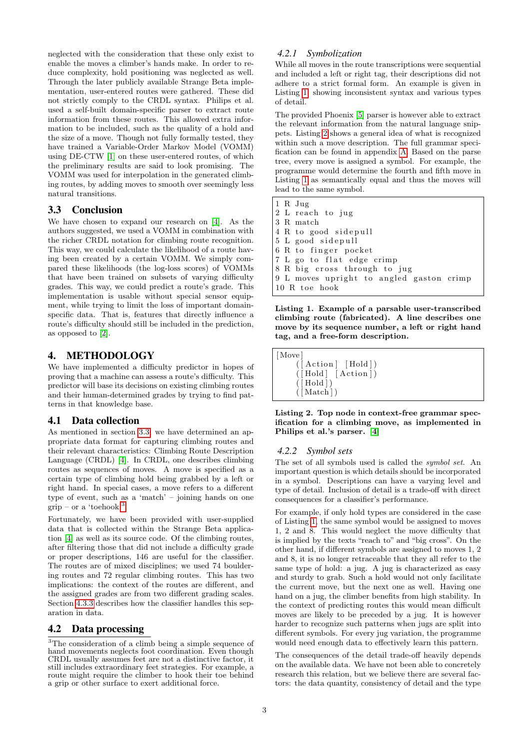neglected with the consideration that these only exist to enable the moves a climber's hands make. In order to reduce complexity, hold positioning was neglected as well. Through the later publicly available Strange Beta implementation, user-entered routes were gathered. These did not strictly comply to the CRDL syntax. Philips et al. used a self-built domain-specific parser to extract route information from these routes. This allowed extra information to be included, such as the quality of a hold and the size of a move. Though not fully formally tested, they have trained a Variable-Order Markov Model (VOMM) using DE-CTW [\[1\]](#page-8-0) on these user-entered routes, of which the preliminary results are said to look promising. The VOMM was used for interpolation in the generated climbing routes, by adding moves to smooth over seemingly less natural transitions.

# <span id="page-2-1"></span>3.3 Conclusion

We have chosen to expand our research on [\[4\]](#page-8-3). As the authors suggested, we used a VOMM in combination with the richer CRDL notation for climbing route recognition. This way, we could calculate the likelihood of a route having been created by a certain VOMM. We simply compared these likelihoods (the log-loss scores) of VOMMs that have been trained on subsets of varying difficulty grades. This way, we could predict a route's grade. This implementation is usable without special sensor equipment, while trying to limit the loss of important domainspecific data. That is, features that directly influence a route's difficulty should still be included in the prediction, as opposed to [\[2\]](#page-8-2).

# <span id="page-2-0"></span>4. METHODOLOGY

We have implemented a difficulty predictor in hopes of proving that a machine can assess a route's difficulty. This predictor will base its decisions on existing climbing routes and their human-determined grades by trying to find patterns in that knowledge base.

#### 4.1 Data collection

As mentioned in section [3.3,](#page-2-1) we have determined an appropriate data format for capturing climbing routes and their relevant characteristics: Climbing Route Description Language (CRDL) [\[4\]](#page-8-3). In CRDL, one describes climbing routes as sequences of moves. A move is specified as a certain type of climbing hold being grabbed by a left or right hand. In special cases, a move refers to a different type of event, such as a 'match' – joining hands on one  $grip - or a 'toehook<sup>3</sup>.$  $grip - or a 'toehook<sup>3</sup>.$  $grip - or a 'toehook<sup>3</sup>.$ 

Fortunately, we have been provided with user-supplied data that is collected within the Strange Beta application [\[4\]](#page-8-3) as well as its source code. Of the climbing routes, after filtering those that did not include a difficulty grade or proper descriptions, 146 are useful for the classifier. The routes are of mixed disciplines; we used 74 bouldering routes and 72 regular climbing routes. This has two implications: the context of the routes are different, and the assigned grades are from two different grading scales. Section [4.3.3](#page-3-0) describes how the classifier handles this separation in data.

# 4.2 Data processing

### *4.2.1 Symbolization*

While all moves in the route transcriptions were sequential and included a left or right tag, their descriptions did not adhere to a strict formal form. An example is given in Listing [1,](#page-2-3) showing inconsistent syntax and various types of detail.

The provided Phoenix [\[5\]](#page-8-4) parser is however able to extract the relevant information from the natural language snippets. Listing [2](#page-2-4) shows a general idea of what is recognized within such a move description. The full grammar specification can be found in appendix [A.](#page-8-5) Based on the parse tree, every move is assigned a symbol. For example, the programme would determine the fourth and fifth move in Listing [1](#page-2-3) as semantically equal and thus the moves will lead to the same symbol.

<span id="page-2-3"></span>1 R Jug 2 L reach to jug 3 R match 4 R to good sidepull 5 L good sidepull  $6 R$  to finger pocket 7 L go to flat edge crimp 8 R big cross through to jug 9 L moves upright to angled gaston crimp 10 R toe hook

Listing 1. Example of a parsable user-transcribed climbing route (fabricated). A line describes one move by its sequence number, a left or right hand tag, and a free-form description.

<span id="page-2-4"></span>[Move]  $([Action] [ Hold])$  $(\overrightarrow{[} \text{Hold} \overrightarrow{[} \text{Action} \overrightarrow{])})$  $([Hold])$  $(\lceil \text{Match} \rceil)$ 

Listing 2. Top node in context-free grammar specification for a climbing move, as implemented in Philips et al.'s parser. [\[4\]](#page-8-3)

#### *4.2.2 Symbol sets*

The set of all symbols used is called the symbol set. An important question is which details should be incorporated in a symbol. Descriptions can have a varying level and type of detail. Inclusion of detail is a trade-off with direct consequences for a classifier's performance.

For example, if only hold types are considered in the case of Listing [1,](#page-2-3) the same symbol would be assigned to moves 1, 2 and 8. This would neglect the move difficulty that is implied by the texts "reach to" and "big cross". On the other hand, if different symbols are assigned to moves 1, 2 and 8, it is no longer retraceable that they all refer to the same type of hold: a jug. A jug is characterized as easy and sturdy to grab. Such a hold would not only facilitate the current move, but the next one as well. Having one hand on a jug, the climber benefits from high stability. In the context of predicting routes this would mean difficult moves are likely to be preceded by a jug. It is however harder to recognize such patterns when jugs are split into different symbols. For every jug variation, the programme would need enough data to effectively learn this pattern.

The consequences of the detail trade-off heavily depends on the available data. We have not been able to concretely research this relation, but we believe there are several factors: the data quantity, consistency of detail and the type

<span id="page-2-2"></span><sup>&</sup>lt;sup>3</sup>The consideration of a climb being a simple sequence of hand movements neglects foot coordination. Even though CRDL usually assumes feet are not a distinctive factor, it still includes extraordinary feet strategies. For example, a route might require the climber to hook their toe behind a grip or other surface to exert additional force.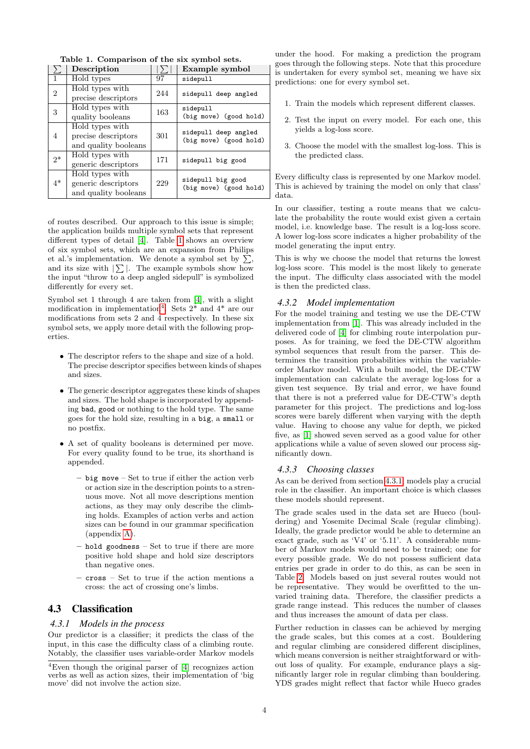|                | Description                                                    |     | Example symbol                                 |
|----------------|----------------------------------------------------------------|-----|------------------------------------------------|
| 1              | Hold types                                                     | 97  | sidepull                                       |
| $\overline{2}$ | Hold types with<br>precise descriptors                         | 244 | sidepull deep angled                           |
| 3              | Hold types with<br>quality booleans                            | 163 | sidepull<br>(big move) (good hold)             |
| 4              | Hold types with<br>precise descriptors<br>and quality booleans | 301 | sidepull deep angled<br>(big move) (good hold) |
| $2^*$          | Hold types with<br>generic descriptors                         | 171 | sidepull big good                              |
| $4*$           | Hold types with<br>generic descriptors<br>and quality booleans | 229 | sidepull big good<br>(big move) (good hold)    |

<span id="page-3-1"></span>Table 1. Comparison of the six symbol sets.

of routes described. Our approach to this issue is simple; the application builds multiple symbol sets that represent different types of detail [\[4\]](#page-8-3). Table [1](#page-3-1) shows an overview of six symbol sets, which are an expansion from Philips et al.'s implementation. We denote a symbol set by  $\sum$ , and its size with  $\sum$ . The example symbols show how the input "throw to a deep angled sidepull" is symbolized differently for every set.

Symbol set 1 through 4 are taken from [\[4\]](#page-8-3), with a slight modification in implementation<sup>[4](#page-3-2)</sup>. Sets  $2^*$  and  $4^*$  are our modifications from sets 2 and 4 respectively. In these six symbol sets, we apply more detail with the following properties.

- The descriptor refers to the shape and size of a hold. The precise descriptor specifies between kinds of shapes and sizes.
- The generic descriptor aggregates these kinds of shapes and sizes. The hold shape is incorporated by appending bad, good or nothing to the hold type. The same goes for the hold size, resulting in a big, a small or no postfix.
- A set of quality booleans is determined per move. For every quality found to be true, its shorthand is appended.
	- big move Set to true if either the action verb or action size in the description points to a strenuous move. Not all move descriptions mention actions, as they may only describe the climbing holds. Examples of action verbs and action sizes can be found in our grammar specification (appendix [A\)](#page-8-5).
	- hold goodness Set to true if there are more positive hold shape and hold size descriptors than negative ones.
	- cross Set to true if the action mentions a cross: the act of crossing one's limbs.

# 4.3 Classification

#### <span id="page-3-3"></span>*4.3.1 Models in the process*

Our predictor is a classifier; it predicts the class of the input, in this case the difficulty class of a climbing route. Notably, the classifier uses variable-order Markov models

under the hood. For making a prediction the program goes through the following steps. Note that this procedure is undertaken for every symbol set, meaning we have six predictions: one for every symbol set.

- 1. Train the models which represent different classes.
- 2. Test the input on every model. For each one, this yields a log-loss score.
- 3. Choose the model with the smallest log-loss. This is the predicted class.

Every difficulty class is represented by one Markov model. This is achieved by training the model on only that class' data.

In our classifier, testing a route means that we calculate the probability the route would exist given a certain model, i.e. knowledge base. The result is a log-loss score. A lower log-loss score indicates a higher probability of the model generating the input entry.

This is why we choose the model that returns the lowest log-loss score. This model is the most likely to generate the input. The difficulty class associated with the model is then the predicted class.

# *4.3.2 Model implementation*

For the model training and testing we use the DE-CTW implementation from [\[1\]](#page-8-0). This was already included in the delivered code of [\[4\]](#page-8-3) for climbing route interpolation purposes. As for training, we feed the DE-CTW algorithm symbol sequences that result from the parser. This determines the transition probabilities within the variableorder Markov model. With a built model, the DE-CTW implementation can calculate the average log-loss for a given test sequence. By trial and error, we have found that there is not a preferred value for DE-CTW's depth parameter for this project. The predictions and log-loss scores were barely different when varying with the depth value. Having to choose any value for depth, we picked five, as [\[1\]](#page-8-0) showed seven served as a good value for other applications while a value of seven slowed our process significantly down.

#### <span id="page-3-0"></span>*4.3.3 Choosing classes*

As can be derived from section [4.3.1,](#page-3-3) models play a crucial role in the classifier. An important choice is which classes these models should represent.

The grade scales used in the data set are Hueco (bouldering) and Yosemite Decimal Scale (regular climbing). Ideally, the grade predictor would be able to determine an exact grade, such as 'V4' or '5.11'. A considerable number of Markov models would need to be trained; one for every possible grade. We do not possess sufficient data entries per grade in order to do this, as can be seen in Table [2.](#page-4-0) Models based on just several routes would not be representative. They would be overfitted to the unvaried training data. Therefore, the classifier predicts a grade range instead. This reduces the number of classes and thus increases the amount of data per class.

Further reduction in classes can be achieved by merging the grade scales, but this comes at a cost. Bouldering and regular climbing are considered different disciplines, which means conversion is neither straightforward or without loss of quality. For example, endurance plays a significantly larger role in regular climbing than bouldering. YDS grades might reflect that factor while Hueco grades

<span id="page-3-2"></span><sup>4</sup>Even though the original parser of [\[4\]](#page-8-3) recognizes action verbs as well as action sizes, their implementation of 'big move' did not involve the action size.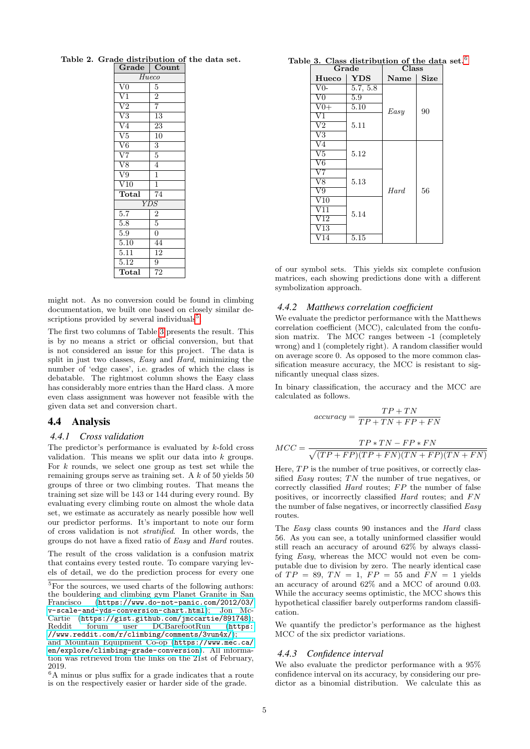<span id="page-4-0"></span>

| $\overline{\mathbf{Grade}}$ | Count              |  |  |  |  |  |  |
|-----------------------------|--------------------|--|--|--|--|--|--|
| Hueco                       |                    |  |  |  |  |  |  |
| $\overline{\text{V0}}$      | $\overline{5}$     |  |  |  |  |  |  |
| $\frac{1}{\sqrt{1}}$        | $\overline{2}$     |  |  |  |  |  |  |
| $\overline{V2}$             | $\overline{7}$     |  |  |  |  |  |  |
| $\overline{\rm V3}$         | $\overline{13}$    |  |  |  |  |  |  |
| $\frac{1}{\sqrt{4}}$        | $\overline{23}$    |  |  |  |  |  |  |
| $\overline{\text{V5}}$      | $\overline{10}$    |  |  |  |  |  |  |
| $\overline{\text{V6}}$      | $\overline{3}$     |  |  |  |  |  |  |
| $\overline{\rm V7}$         | $\overline{5}$     |  |  |  |  |  |  |
| $\overline{\text{V8}}$      | $\overline{4}$     |  |  |  |  |  |  |
| $\overline{\rm V9}$         | $\frac{1}{1}$      |  |  |  |  |  |  |
| $\overline{\text{V10}}$     |                    |  |  |  |  |  |  |
| Total                       | $\overline{74}$    |  |  |  |  |  |  |
|                             | $\overline{Y\!DS}$ |  |  |  |  |  |  |
| $\overline{5.7}$            | $\frac{2}{5}$      |  |  |  |  |  |  |
| 5.8                         |                    |  |  |  |  |  |  |
| $\overline{5.9}$            | $\overline{0}$     |  |  |  |  |  |  |
| 5.10                        | $\overline{44}$    |  |  |  |  |  |  |
| $\frac{1}{5.11}$            | $\overline{12}$    |  |  |  |  |  |  |
| 5.12                        | $\overline{9}$     |  |  |  |  |  |  |
| Total                       | $\overline{72}$    |  |  |  |  |  |  |

Table 2. Grade distribution of the data set.

might not. As no conversion could be found in climbing documentation, we built one based on closely similar de-scriptions provided by several individuals<sup>[5](#page-4-1)</sup>.

The first two columns of Table [3](#page-4-2) presents the result. This is by no means a strict or official conversion, but that is not considered an issue for this project. The data is split in just two classes, *Easy* and *Hard*, minimizing the number of 'edge cases', i.e. grades of which the class is debatable. The rightmost column shows the Easy class has considerably more entries than the Hard class. A more even class assignment was however not feasible with the given data set and conversion chart.

### 4.4 Analysis

#### *4.4.1 Cross validation*

The predictor's performance is evaluated by  $k$ -fold cross validation. This means we split our data into  $k$  groups. For  $k$  rounds, we select one group as test set while the remaining groups serve as training set. A k of 50 yields 50 groups of three or two climbing routes. That means the training set size will be 143 or 144 during every round. By evaluating every climbing route on almost the whole data set, we estimate as accurately as nearly possible how well our predictor performs. It's important to note our form of cross validation is not stratified. In other words, the groups do not have a fixed ratio of Easy and Hard routes.

The result of the cross validation is a confusion matrix that contains every tested route. To compare varying levels of detail, we do the prediction process for every one

|  | Table 3. Class distribution of the data set. $6$ |  |  |  |
|--|--------------------------------------------------|--|--|--|
|  |                                                  |  |  |  |

<span id="page-4-2"></span>

|                          | Grade      | Class            |             |  |  |
|--------------------------|------------|------------------|-------------|--|--|
| Hueco                    | <b>YDS</b> | <b>Name</b>      | <b>Size</b> |  |  |
| $V0-$                    | 5.7, 5.8   |                  |             |  |  |
| $\overline{\text{V0}}$   | 5.9        |                  |             |  |  |
| $V0+$                    | 5.10       | Easy             | 90          |  |  |
| $\overline{\mathrm{V1}}$ |            |                  |             |  |  |
| $\overline{\mathrm{V}2}$ | 5.11       |                  |             |  |  |
| V3                       |            |                  |             |  |  |
| V4                       |            |                  |             |  |  |
| $\overline{\mathrm{V5}}$ | 5.12       |                  |             |  |  |
| $\overline{\rm V6}$      |            |                  |             |  |  |
| V7                       |            |                  |             |  |  |
| $\overline{\rm V8}$      | 5.13       |                  |             |  |  |
| V9                       |            | H <sub>ard</sub> | 56          |  |  |
| $_{\rm V10}$             |            |                  |             |  |  |
| V 11                     | 5.14       |                  |             |  |  |
| V12                      |            |                  |             |  |  |
| $\sqrt{13}$              |            |                  |             |  |  |
| /14                      | 5.15       |                  |             |  |  |

of our symbol sets. This yields six complete confusion matrices, each showing predictions done with a different symbolization approach.

#### *4.4.2 Matthews correlation coefficient*

We evaluate the predictor performance with the Matthews correlation coefficient (MCC), calculated from the confusion matrix. The MCC ranges between -1 (completely wrong) and 1 (completely right). A random classifier would on average score 0. As opposed to the more common classification measure accuracy, the MCC is resistant to significantly unequal class sizes.

In binary classification, the accuracy and the MCC are calculated as follows.

$$
accuracy = \frac{TP + TN}{TP + TN + FP + FN}
$$

$$
MCC = \frac{TP * TN - FP * FN}{\sqrt{(TP + FP)(TP + FN)(TN + FP)(TN + FN)}}
$$

Here,  $TP$  is the number of true positives, or correctly classified Easy routes;  $TN$  the number of true negatives, or correctly classified  $Hard$  routes;  $FP$  the number of false positives, or incorrectly classified  $Hard$  routes; and  $FN$ the number of false negatives, or incorrectly classified Easy routes.

The Easy class counts 90 instances and the Hard class 56. As you can see, a totally uninformed classifier would still reach an accuracy of around 62% by always classifying Easy, whereas the MCC would not even be computable due to division by zero. The nearly identical case of  $TP = 89$ ,  $TN = 1$ ,  $FP = 55$  and  $FN = 1$  yields an accuracy of around 62% and a MCC of around 0.03. While the accuracy seems optimistic, the MCC shows this hypothetical classifier barely outperforms random classification.

We quantify the predictor's performance as the highest MCC of the six predictor variations.

#### *4.4.3 Confidence interval*

We also evaluate the predictor performance with a 95% confidence interval on its accuracy, by considering our predictor as a binomial distribution. We calculate this as

<span id="page-4-1"></span> ${}^{5}$ For the sources, we used charts of the following authors: the bouldering and climbing gym Planet Granite in San Francisco ([https://www.do-not-panic.com/2012/03/](https://www.do-not-panic.com/2012/03/v-scale-and-yds-conversion-chart.html) [v-scale-and-yds-conversion-chart.html](https://www.do-not-panic.com/2012/03/v-scale-and-yds-conversion-chart.html)); Jon McCartie (<https://gist.github.com/jmccartie/891748>);<br>Reddit forum user DCBarefootRun (https:  $DCBarefootRun$ [//www.reddit.com/r/climbing/comments/3vun4x/](https://www.reddit.com/r/climbing/comments/3vun4x/)); and Mountain Equipment Co-op ([https://www.mec.ca/](https://www.mec.ca/en/explore/climbing-grade-conversion) [en/explore/climbing-grade-conversion](https://www.mec.ca/en/explore/climbing-grade-conversion)). All information was retrieved from the links on the 21st of February, 2019.

<span id="page-4-3"></span> ${}^6\mathrm{A}$  minus or plus suffix for a grade indicates that a route is on the respectively easier or harder side of the grade.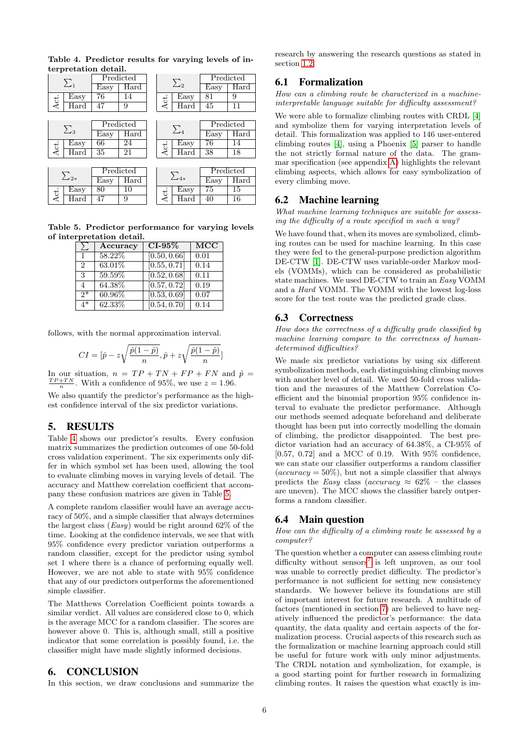| $\sum_{1}$  |               | Predicted |            | $\sum_{2}$ |             |            | Predicted |               |
|-------------|---------------|-----------|------------|------------|-------------|------------|-----------|---------------|
|             |               | Easy      | Hard       |            |             |            | Easy      | Hard          |
| Act.        | Easy          | 76        | 14         |            | Act.        | Easy       | 81        | 9             |
|             | $_{\rm Hard}$ | 47        | 9          |            |             | Hard       | 45        | 11            |
|             |               |           |            |            |             |            |           |               |
|             | $\sum_3$      |           | Predicted  |            |             | $\Sigma_4$ |           | Predicted     |
|             |               | Easy      | Hard       |            |             |            | Easy      | $\bar{H}$ ard |
| Act.        | Easy          | 66        | 24         |            | Act.        | Easy       | 76        | 14            |
|             | Hard          | 35        | 21         |            |             | Hard       | 38        | 18            |
|             |               |           |            |            |             |            |           |               |
| $\sum_{2*}$ |               | Predicted |            |            | $\sum_{4*}$ |            | Predicted |               |
|             |               | Easy      | $\rm Hard$ |            |             |            | Easy      | $\rm Hard$    |
| Act.        | Easy          | 80        | 10         |            | Act.        | Easy       | 75        | 15            |
|             | $_{\rm Hard}$ | 47        | 9          |            |             | $\rm Hard$ | 40        | 16            |

<span id="page-5-2"></span>Table 4. Predictor results for varying levels of interpretation detail.

Table 5. Predictor performance for varying levels of interpretation detail.

<span id="page-5-3"></span>

|                | Accuracy | $CI-95\%$                 | <b>MCC</b> |
|----------------|----------|---------------------------|------------|
| $\mathbf{1}$   | 58.22%   | [0.50, 0.66]              | 0.01       |
| $\mathfrak{D}$ | 63.01\%  | [0.55, 0.71]              | 0.14       |
| 3              | 59.59%   | $\overline{[0.52, 0.68]}$ | 0.11       |
| 4              | 64.38%   | [0.57, 0.72]              | 0.19       |
| $2*$           | 60.96%   | $\overline{[0.53, 0.69]}$ | 0.07       |
| $4*$           | 62.33%   | [0.54, 0.70]              | 0.14       |

follows, with the normal approximation interval.

$$
CI = [\hat{p} - z\sqrt{\frac{\hat{p}(1-\hat{p})}{n}}, \hat{p} + z\sqrt{\frac{\hat{p}(1-\hat{p})}{n}}]
$$

In our situation,  $n = TP + TN + FP + FN$  and  $\hat{p} =$  $\frac{TP+TN}{n}$ . With a confidence of 95%, we use  $z = 1.96$ .

We also quantify the predictor's performance as the highest confidence interval of the six predictor variations.

# <span id="page-5-0"></span>5. RESULTS

Table [4](#page-5-2) shows our predictor's results. Every confusion matrix summarizes the prediction outcomes of one 50-fold cross validation experiment. The six experiments only differ in which symbol set has been used, allowing the tool to evaluate climbing moves in varying levels of detail. The accuracy and Matthew correlation coefficient that accompany these confusion matrices are given in Table [5.](#page-5-3)

A complete random classifier would have an average accuracy of 50%, and a simple classifier that always determines the largest class  $(Easy)$  would be right around 62% of the time. Looking at the confidence intervals, we see that with 95% confidence every predictor variation outperforms a random classifier, except for the predictor using symbol set 1 where there is a chance of performing equally well. However, we are not able to state with 95% confidence that any of our predictors outperforms the aforementioned simple classifier.

The Matthews Correlation Coefficient points towards a similar verdict. All values are considered close to 0, which is the average MCC for a random classifier. The scores are however above 0. This is, although small, still a positive indicator that some correlation is possibly found, i.e. the classifier might have made slightly informed decisions.

### <span id="page-5-1"></span>6. CONCLUSION

In this section, we draw conclusions and summarize the

research by answering the research questions as stated in section [1.2.](#page-0-0)

# 6.1 Formalization

How can a climbing route be characterized in a machineinterpretable language suitable for difficulty assessment?

We were able to formalize climbing routes with CRDL [\[4\]](#page-8-3) and symbolize them for varying interpretation levels of detail. This formalization was applied to 146 user-entered climbing routes [\[4\]](#page-8-3), using a Phoenix [\[5\]](#page-8-4) parser to handle the not strictly formal nature of the data. The grammar specification (see appendix [A\)](#page-8-5) highlights the relevant climbing aspects, which allows for easy symbolization of every climbing move.

### 6.2 Machine learning

What machine learning techniques are suitable for assessing the difficulty of a route specified in such a way?

We have found that, when its moves are symbolized, climbing routes can be used for machine learning. In this case they were fed to the general-purpose prediction algorithm DE-CTW [\[1\]](#page-8-0). DE-CTW uses variable-order Markov models (VOMMs), which can be considered as probabilistic state machines. We used DE-CTW to train an Easy VOMM and a Hard VOMM. The VOMM with the lowest log-loss score for the test route was the predicted grade class.

# 6.3 Correctness

How does the correctness of a difficulty grade classified by machine learning compare to the correctness of humandetermined difficulties?

We made six predictor variations by using six different symbolization methods, each distinguishing climbing moves with another level of detail. We used 50-fold cross validation and the measures of the Matthew Correlation Coefficient and the binomial proportion 95% confidence interval to evaluate the predictor performance. Although our methods seemed adequate beforehand and deliberate thought has been put into correctly modelling the domain of climbing, the predictor disappointed. The best predictor variation had an accuracy of 64.38%, a CI-95% of [0.57, 0.72] and a MCC of 0.19. With 95% confidence, we can state our classifier outperforms a random classifier  $(accuracy = 50\%)$ , but not a simple classifier that always predicts the Easy class (accuracy  $\approx 62\%$  – the classes are uneven). The MCC shows the classifier barely outperforms a random classifier.

### 6.4 Main question

How can the difficulty of a climbing route be assessed by a computer?

The question whether a computer can assess climbing route difficulty without  $sensors<sup>7</sup>$  $sensors<sup>7</sup>$  $sensors<sup>7</sup>$  is left unproven, as our tool was unable to correctly predict difficulty. The predictor's performance is not sufficient for setting new consistency standards. We however believe its foundations are still of important interest for future research. A multitude of factors (mentioned in section [7\)](#page-6-0) are believed to have negatively influenced the predictor's performance: the data quantity, the data quality and certain aspects of the formalization process. Crucial aspects of this research such as the formalization or machine learning approach could still be useful for future work with only minor adjustments. The CRDL notation and symbolization, for example, is a good starting point for further research in formalizing climbing routes. It raises the question what exactly is im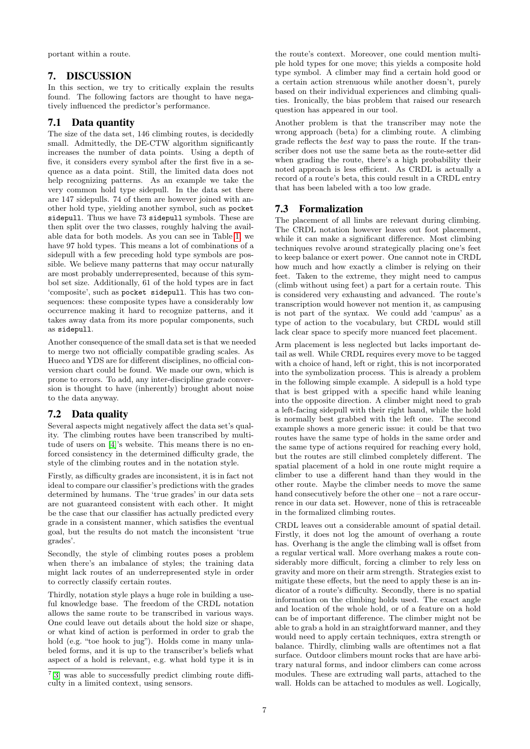portant within a route.

# <span id="page-6-0"></span>7. DISCUSSION

In this section, we try to critically explain the results found. The following factors are thought to have negatively influenced the predictor's performance.

# 7.1 Data quantity

The size of the data set, 146 climbing routes, is decidedly small. Admittedly, the DE-CTW algorithm significantly increases the number of data points. Using a depth of five, it considers every symbol after the first five in a sequence as a data point. Still, the limited data does not help recognizing patterns. As an example we take the very common hold type sidepull. In the data set there are 147 sidepulls. 74 of them are however joined with another hold type, yielding another symbol, such as pocket sidepull. Thus we have 73 sidepull symbols. These are then split over the two classes, roughly halving the available data for both models. As you can see in Table [1,](#page-3-1) we have 97 hold types. This means a lot of combinations of a sidepull with a few preceding hold type symbols are possible. We believe many patterns that may occur naturally are most probably underrepresented, because of this symbol set size. Additionally, 61 of the hold types are in fact 'composite', such as pocket sidepull. This has two consequences: these composite types have a considerably low occurrence making it hard to recognize patterns, and it takes away data from its more popular components, such as sidepull.

Another consequence of the small data set is that we needed to merge two not officially compatible grading scales. As Hueco and YDS are for different disciplines, no official conversion chart could be found. We made our own, which is prone to errors. To add, any inter-discipline grade conversion is thought to have (inherently) brought about noise to the data anyway.

# 7.2 Data quality

Several aspects might negatively affect the data set's quality. The climbing routes have been transcribed by multitude of users on [\[4\]](#page-8-3)'s website. This means there is no enforced consistency in the determined difficulty grade, the style of the climbing routes and in the notation style.

Firstly, as difficulty grades are inconsistent, it is in fact not ideal to compare our classifier's predictions with the grades determined by humans. The 'true grades' in our data sets are not guaranteed consistent with each other. It might be the case that our classifier has actually predicted every grade in a consistent manner, which satisfies the eventual goal, but the results do not match the inconsistent 'true grades'.

Secondly, the style of climbing routes poses a problem when there's an imbalance of styles; the training data might lack routes of an underrepresented style in order to correctly classify certain routes.

Thirdly, notation style plays a huge role in building a useful knowledge base. The freedom of the CRDL notation allows the same route to be transcribed in various ways. One could leave out details about the hold size or shape, or what kind of action is performed in order to grab the hold (e.g. "toe hook to jug"). Holds come in many unlabeled forms, and it is up to the transcriber's beliefs what aspect of a hold is relevant, e.g. what hold type it is in

the route's context. Moreover, one could mention multiple hold types for one move; this yields a composite hold type symbol. A climber may find a certain hold good or a certain action strenuous while another doesn't, purely based on their individual experiences and climbing qualities. Ironically, the bias problem that raised our research question has appeared in our tool.

Another problem is that the transcriber may note the wrong approach (beta) for a climbing route. A climbing grade reflects the best way to pass the route. If the transcriber does not use the same beta as the route-setter did when grading the route, there's a high probability their noted approach is less efficient. As CRDL is actually a record of a route's beta, this could result in a CRDL entry that has been labeled with a too low grade.

# 7.3 Formalization

The placement of all limbs are relevant during climbing. The CRDL notation however leaves out foot placement, while it can make a significant difference. Most climbing techniques revolve around strategically placing one's feet to keep balance or exert power. One cannot note in CRDL how much and how exactly a climber is relying on their feet. Taken to the extreme, they might need to campus (climb without using feet) a part for a certain route. This is considered very exhausting and advanced. The route's transcription would however not mention it, as campusing is not part of the syntax. We could add 'campus' as a type of action to the vocabulary, but CRDL would still lack clear space to specify more nuanced feet placement.

Arm placement is less neglected but lacks important detail as well. While CRDL requires every move to be tagged with a choice of hand, left or right, this is not incorporated into the symbolization process. This is already a problem in the following simple example. A sidepull is a hold type that is best gripped with a specific hand while leaning into the opposite direction. A climber might need to grab a left-facing sidepull with their right hand, while the hold is normally best grabbed with the left one. The second example shows a more generic issue: it could be that two routes have the same type of holds in the same order and the same type of actions required for reaching every hold, but the routes are still climbed completely different. The spatial placement of a hold in one route might require a climber to use a different hand than they would in the other route. Maybe the climber needs to move the same hand consecutively before the other one – not a rare occurrence in our data set. However, none of this is retraceable in the formalized climbing routes.

CRDL leaves out a considerable amount of spatial detail. Firstly, it does not log the amount of overhang a route has. Overhang is the angle the climbing wall is offset from a regular vertical wall. More overhang makes a route considerably more difficult, forcing a climber to rely less on gravity and more on their arm strength. Strategies exist to mitigate these effects, but the need to apply these is an indicator of a route's difficulty. Secondly, there is no spatial information on the climbing holds used. The exact angle and location of the whole hold, or of a feature on a hold can be of important difference. The climber might not be able to grab a hold in an straightforward manner, and they would need to apply certain techniques, extra strength or balance. Thirdly, climbing walls are oftentimes not a flat surface. Outdoor climbers mount rocks that are have arbitrary natural forms, and indoor climbers can come across modules. These are extruding wall parts, attached to the wall. Holds can be attached to modules as well. Logically,

<span id="page-6-1"></span><sup>7</sup> [\[3\]](#page-8-1) was able to successfully predict climbing route difficulty in a limited context, using sensors.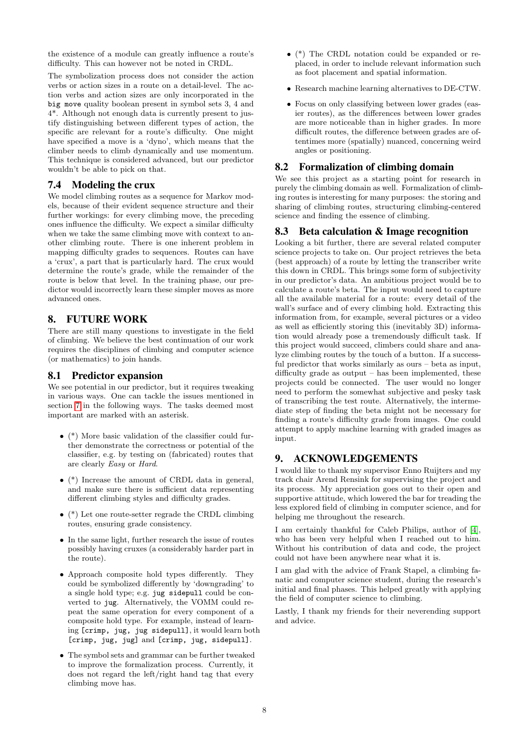the existence of a module can greatly influence a route's difficulty. This can however not be noted in CRDL.

The symbolization process does not consider the action verbs or action sizes in a route on a detail-level. The action verbs and action sizes are only incorporated in the big move quality boolean present in symbol sets 3, 4 and 4\*. Although not enough data is currently present to justify distinguishing between different types of action, the specific are relevant for a route's difficulty. One might have specified a move is a 'dyno', which means that the climber needs to climb dynamically and use momentum. This technique is considered advanced, but our predictor wouldn't be able to pick on that.

# 7.4 Modeling the crux

We model climbing routes as a sequence for Markov models, because of their evident sequence structure and their further workings: for every climbing move, the preceding ones influence the difficulty. We expect a similar difficulty when we take the same climbing move with context to another climbing route. There is one inherent problem in mapping difficulty grades to sequences. Routes can have a 'crux', a part that is particularly hard. The crux would determine the route's grade, while the remainder of the route is below that level. In the training phase, our predictor would incorrectly learn these simpler moves as more advanced ones.

# 8. FUTURE WORK

There are still many questions to investigate in the field of climbing. We believe the best continuation of our work requires the disciplines of climbing and computer science (or mathematics) to join hands.

#### 8.1 Predictor expansion

We see potential in our predictor, but it requires tweaking in various ways. One can tackle the issues mentioned in section [7](#page-6-0) in the following ways. The tasks deemed most important are marked with an asterisk.

- $\bullet$  (\*) More basic validation of the classifier could further demonstrate the correctness or potential of the classifier, e.g. by testing on (fabricated) routes that are clearly Easy or Hard.
- (\*) Increase the amount of CRDL data in general, and make sure there is sufficient data representing different climbing styles and difficulty grades.
- (\*) Let one route-setter regrade the CRDL climbing routes, ensuring grade consistency.
- In the same light, further research the issue of routes possibly having cruxes (a considerably harder part in the route).
- Approach composite hold types differently. They could be symbolized differently by 'downgrading' to a single hold type; e.g. jug sidepull could be converted to jug. Alternatively, the VOMM could repeat the same operation for every component of a composite hold type. For example, instead of learning [crimp, jug, jug sidepull], it would learn both [crimp, jug, jug] and [crimp, jug, sidepull].
- The symbol sets and grammar can be further tweaked to improve the formalization process. Currently, it does not regard the left/right hand tag that every climbing move has.
- (\*) The CRDL notation could be expanded or replaced, in order to include relevant information such as foot placement and spatial information.
- Research machine learning alternatives to DE-CTW.
- Focus on only classifying between lower grades (easier routes), as the differences between lower grades are more noticeable than in higher grades. In more difficult routes, the difference between grades are oftentimes more (spatially) nuanced, concerning weird angles or positioning.

### 8.2 Formalization of climbing domain

We see this project as a starting point for research in purely the climbing domain as well. Formalization of climbing routes is interesting for many purposes: the storing and sharing of climbing routes, structuring climbing-centered science and finding the essence of climbing.

### 8.3 Beta calculation & Image recognition

Looking a bit further, there are several related computer science projects to take on. Our project retrieves the beta (best approach) of a route by letting the transcriber write this down in CRDL. This brings some form of subjectivity in our predictor's data. An ambitious project would be to calculate a route's beta. The input would need to capture all the available material for a route: every detail of the wall's surface and of every climbing hold. Extracting this information from, for example, several pictures or a video as well as efficiently storing this (inevitably 3D) information would already pose a tremendously difficult task. If this project would succeed, climbers could share and analyze climbing routes by the touch of a button. If a successful predictor that works similarly as ours – beta as input, difficulty grade as output – has been implemented, these projects could be connected. The user would no longer need to perform the somewhat subjective and pesky task of transcribing the test route. Alternatively, the intermediate step of finding the beta might not be necessary for finding a route's difficulty grade from images. One could attempt to apply machine learning with graded images as input.

# 9. ACKNOWLEDGEMENTS

I would like to thank my supervisor Enno Ruijters and my track chair Arend Rensink for supervising the project and its process. My appreciation goes out to their open and supportive attitude, which lowered the bar for treading the less explored field of climbing in computer science, and for helping me throughout the research.

I am certainly thankful for Caleb Philips, author of [\[4\]](#page-8-3), who has been very helpful when I reached out to him. Without his contribution of data and code, the project could not have been anywhere near what it is.

I am glad with the advice of Frank Stapel, a climbing fanatic and computer science student, during the research's initial and final phases. This helped greatly with applying the field of computer science to climbing.

Lastly, I thank my friends for their neverending support and advice.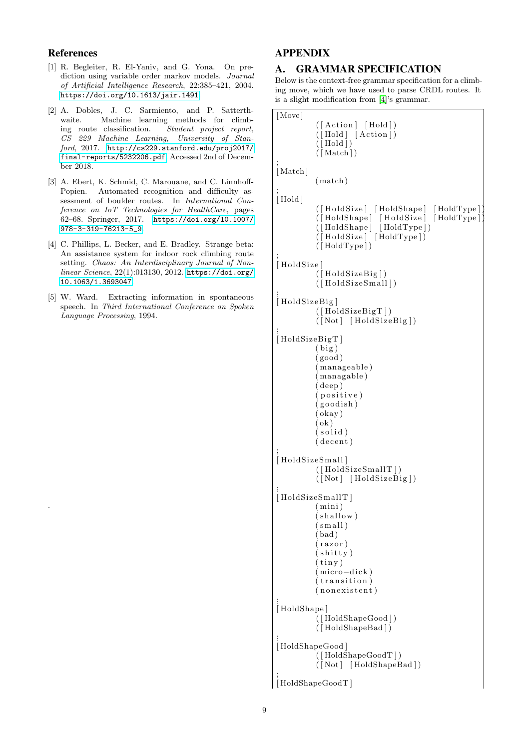# References

.

- <span id="page-8-0"></span>[1] R. Begleiter, R. El-Yaniv, and G. Yona. On prediction using variable order markov models. Journal of Artificial Intelligence Research, 22:385–421, 2004. <https://doi.org/10.1613/jair.1491>.
- <span id="page-8-2"></span>[2] A. Dobles, J. C. Sarmiento, and P. Satterthwaite. Machine learning methods for climbing route classification. Student project report, CS 229 Machine Learning, University of Stanford, 2017. [http://cs229.stanford.edu/proj2017/](http://cs229.stanford.edu/proj2017/final-reports/5232206.pdf) [final-reports/5232206.pdf](http://cs229.stanford.edu/proj2017/final-reports/5232206.pdf). Accessed 2nd of December 2018.
- <span id="page-8-1"></span>[3] A. Ebert, K. Schmid, C. Marouane, and C. Linnhoff-Popien. Automated recognition and difficulty assessment of boulder routes. In International Conference on IoT Technologies for HealthCare, pages 62–68. Springer, 2017. [https://doi.org/10.1007/](https://doi.org/10.1007/978-3-319-76213-5_9) [978-3-319-76213-5\\_9](https://doi.org/10.1007/978-3-319-76213-5_9).
- <span id="page-8-3"></span>[4] C. Phillips, L. Becker, and E. Bradley. Strange beta: An assistance system for indoor rock climbing route setting. Chaos: An Interdisciplinary Journal of Nonlinear Science, 22(1):013130, 2012. [https://doi.org/](https://doi.org/10.1063/1.3693047) [10.1063/1.3693047](https://doi.org/10.1063/1.3693047).
- <span id="page-8-4"></span>[5] W. Ward. Extracting information in spontaneous speech. In Third International Conference on Spoken Language Processing, 1994.

# APPENDIX

# <span id="page-8-5"></span>A. GRAMMAR SPECIFICATION

Below is the context-free grammar specification for a climbing move, which we have used to parse CRDL routes. It is a slight modification from [\[4\]](#page-8-3)'s grammar.

```
[ Move]
          ([Action] [ Hold])([Hold] [Action])(\overline{[} Hold \overline{]})([Match]);
[Match]
          ( match )
;
[Hold]
          ([HoldSize] [HoldShape] [HoldType]
          ([Holdshape] [Holdsize] [Holds]( [ HoldShape ] [ HoldType ] )
          ([Holdsize] [HoldType])(\lceil HoldType\rceil)
;
[HoldSize]
           [HoldSizeBig])
          ([Holdsize Small]);
[HoldSizeBig]
          (\lceilHoldSizeBigT\rceil)
          (\lceil Not \rceil \text{HoldsizeBig});
[ HoldSizeBigT ]
          (big)( good )
          ( manageable )
          ( managable )
          ( deep )
           ( p o s i t i v e )
          (goodish)( okay )
          ( ok )
          (solid)(decent);
[HoldSizeSmall]
          (\lceil HoldSizeSmallT\rceil)
          ([Not] [ HoldSizeBig]);
[ HoldSizeSmallT ]
          ( mini )
          (shallow)(sm all )(bad)(r_{\rm azor})(shitty)
          (iiny)(micro-dick)( transition)(nonexistent)
;
[HoldShape]
          ( [ HoldShapeGood ] )
          ( [ HoldShapeBad ] )
;
[ HoldShapeGood ]
          ( [ HoldShapeGoodT ] )
          ([Not] [HoldshapeBad]);
[ HoldShapeGoodT ]
```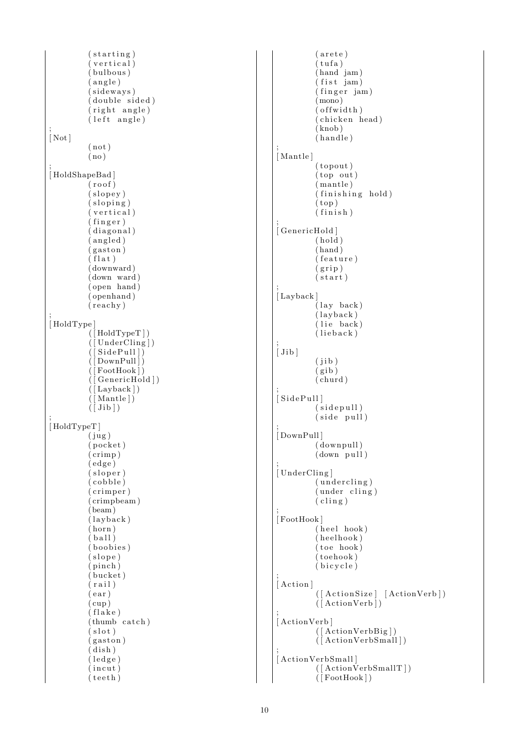```
(s^{t}arting)
           (vertical)(hulbous)(\text{angle})(sideways)
           (double sided)
           (right angle)(\text{left angle});
[Not]
           ( not )
          ( no )
;
[HoldShapeBad]
           (roof)(slope y)(sloping)(vertical)(finger)(diagonal)( an gled )
           (gaston)(flat)
           ( downward )
           (down \, \, \text{ward})( open hand )
           ( openhand )
           ( re achy )
;
[ HoldType ]
           ( [ HoldTypeT ] )
           ( [ UnderCling ] )
           ([SidePull])DownPull]
             \text{ FootHook}])
             GenericHold])
           ([ Layback])
           (\lceil Mantle\rceil)(\overline{Jib});
[ HoldTypeT ]
          (iug)(pocket)( crimp )
           ( edge )
           (sloper)(cobble)(c rimper)
           ( crimpbeam )
           (\overline{\text{beam}})(\text{layback})( horn )
           (ball)(boobies)
           (slope)( pinch )
           (hucket)(\text{rail})( ear)( cup )
           (l_{\rm 1a ke})(thumb catch)
           (slot)(gaston)(\tilde{d}ish)
           (\text{ledge})(incut)( \text{ teeth } )
```

```
( arete)
           (tufa)
           (hand 'jam)(fist jam)(finger jam)
           (mono)(\text{of fwidth})(chicken head)
           (knob)( h andle )
;
[ Mantle ]
           (topout)
           (top \text{ out})( mantle )
           \hat{f} finishing hold)
           (top)(i \text{ n is h});
[ GenericHold ]
           (hold)( hand )
           (f e at ure )(grip)(s \text{tar} t);
[ Layback]
           (\text{lay back})(\text{layback})(lie \nbackslash back)(lieback);
[Jib](jib)(gib)(\text{churd});
[SidePull](sidepull)(side pull)
;
[ DownPull]
           ( downpull )
          (down \text{ pull});
[UnderCling]
           (undercling)(under cling)(c \, \text{ling } );
[ FootHook ]
           (heel hook)
           (heelhook)
           (toe \text{ hook})( toehook )
           (bicycle)
;
[Action]
           ([ActionSize] [ActionVerb])(\left[ \text{ActionVerb} \right]);
[ActionVerb]
           ( [ ActionVerbBig ] )
           (\overrightarrow{[ActionVerbSmall]});
[ActionVerbSmall]
           ([ActionVerbSmallT])
```
 $(\vert$  FootHook  $\rvert$ )